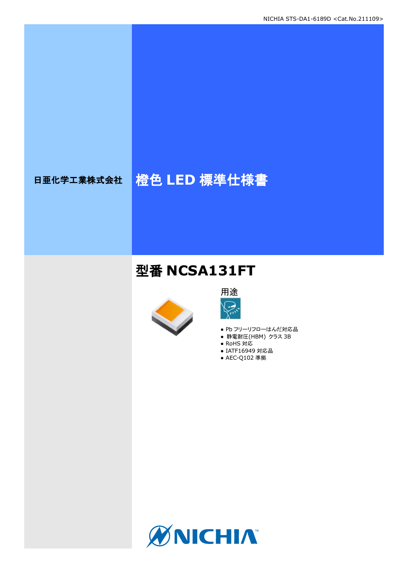# 日亜化学工業株式会社 格色 LED 標準仕様書

## 型番 **NCSA131FT**





- Pb フリーリフローはんだ対応品
- **静電耐圧(HBM) クラス 3B**
- RoHS 対応
- IATF16949 対応品 ● AEC-Q102 準拠

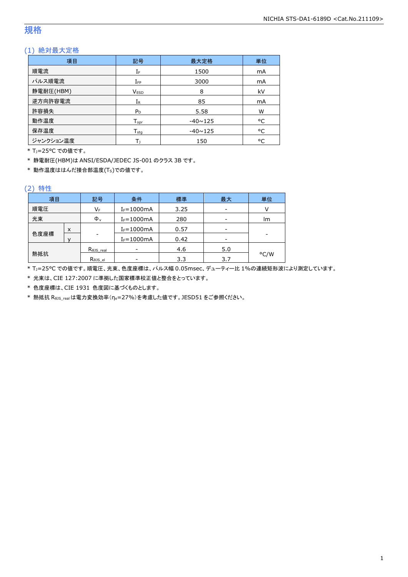### 規格

### (1) 絶対最大定格

| 項目        | 記号               | 最大定格           | 単位 |
|-----------|------------------|----------------|----|
| 順電流       | IF               | 1500           | mA |
| パルス順電流    | $I_{FP}$         | 3000           | mA |
| 静電耐圧(HBM) | <b>VESD</b>      | 8              | kV |
| 逆方向許容電流   | $I_{R}$          | 85             | mA |
| 許容損失      | $P_D$            | 5.58           | W  |
| 動作温度      | $T_{\text{opt}}$ | $-40 \sim 125$ | °C |
| 保存温度      | $T_{\text{stg}}$ | $-40 \sim 125$ | °C |
| ジャンクション温度 | Tı               | 150            | °C |

\* TJ=25°C での値です。

\* 静電耐圧(HBM)は ANSI/ESDA/JEDEC JS-001 のクラス 3B です。

\* 動作温度ははんだ接合部温度(TS)での値です。

#### (2) 特性

| 項目   |   | 記号                   | 条件             | 標準   | 最大  | 単位   |
|------|---|----------------------|----------------|------|-----|------|
| 順電圧  |   | VF                   | $I_F = 1000mA$ | 3.25 |     |      |
| 光束   |   | $\Phi_{\rm v}$       | $I_F = 1000mA$ | 280  |     | lm   |
|      | X |                      | $I_F = 1000mA$ | 0.57 |     |      |
| 色度座標 |   | ۰                    | $I_F = 1000mA$ | 0.42 |     | -    |
|      |   | $R_{\theta}$ JS_real |                | 4.6  | 5.0 |      |
| 熱抵抗  |   | Rejs el              |                | 3.3  | 3.7 | °C/W |

\* TJ=25°C での値です。順電圧、光束、色度座標は、パルス幅 0.05msec、デューティー比 1%の連続矩形波により測定しています。

\* 光束は、CIE 127:2007 に準拠した国家標準校正値と整合をとっています。

\* 色度座標は、CIE 1931 色度図に基づくものとします。

\* 熱抵抗 RθJS\_realは電力変換効率(ηe=27%)を考慮した値です。JESD51 をご参照ください。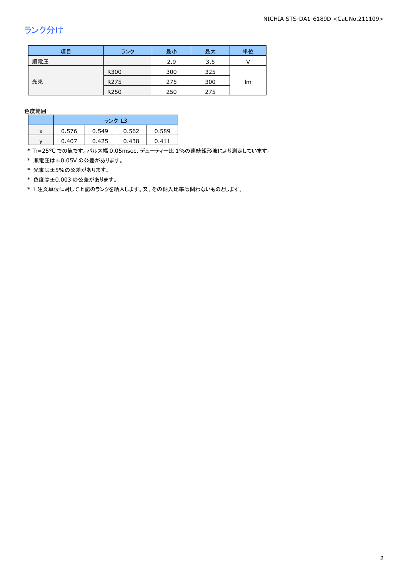## ランク分け

| 項目  | ランク              | 最小  | 最大  | 単位 |
|-----|------------------|-----|-----|----|
| 順電圧 | -                | 2.9 | 3.5 |    |
|     | R300             | 300 | 325 |    |
| 光束  | R <sub>275</sub> | 275 | 300 | lm |
|     | R250             | 250 | 275 |    |

色度範囲

|   | ランク L3 |       |       |       |
|---|--------|-------|-------|-------|
| x | 0.576  | 0.549 | 0.562 | 0.589 |
|   | 0.407  | 0.425 | 0.438 | 0 411 |

\* Tj=25°C での値です。パルス幅 0.05msec、デューティー比 1%の連続矩形波により測定しています。

\* 順電圧は±0.05V の公差があります。

\* 光束は±5%の公差があります。

\* 色度は±0.003 の公差があります。

\* 1 注文単位に対して上記のランクを納入します。又、その納入比率は問わないものとします。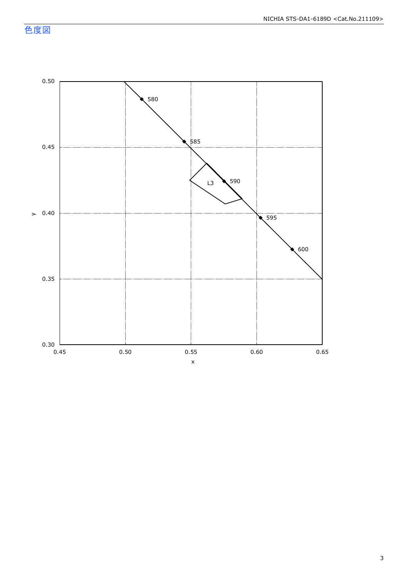色度図

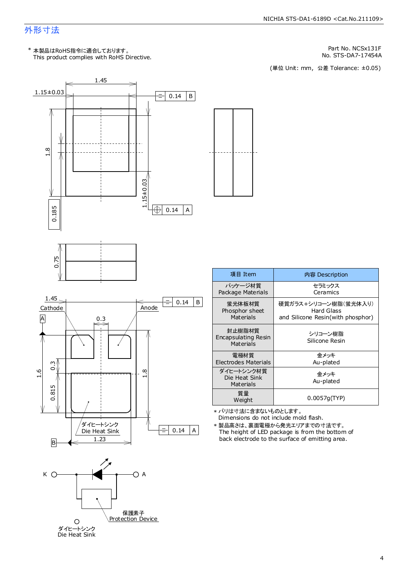### 外形寸法

This product complies with RoHS Directive. \* 本製品はRoHS指令に適合しております。

1.45

Part No. NCSx131F

No. STS-DA7-17454A<br>(単位 Unit: mm,公差 Tolerance: ±0.05)







| 項目 Item                                    | 内容 Description                                                          |
|--------------------------------------------|-------------------------------------------------------------------------|
| パッケージ材質<br>Package Materials               | セラミックス<br>Ceramics                                                      |
| 蛍光体板材質<br>Phosphor sheet<br>Materials      | 硬質ガラス+シリコーン樹脂(蛍光体入り)<br>Hard Glass<br>and Silicone Resin(with phosphor) |
| 封止樹脂材質<br>Encapsulating Resin<br>Materials | シリコーン樹脂<br>Silicone Resin                                               |
| 雷極材質<br><b>Electrodes Materials</b>        | 金メッキ<br>Au-plated                                                       |
| ダイヒートシンク材質<br>Die Heat Sink<br>Materials   | 金メッキ<br>Au-plated                                                       |
| 質量<br>Weight                               | 0.0057g(TYP)                                                            |

Dimensions do not include mold flash. \* バリは寸法に含まないものとします。

The height of LED package is from the bottom of back electrode to the surface of emitting area. \* 製品高さは、裏面電極から発光エリアまでの寸法です。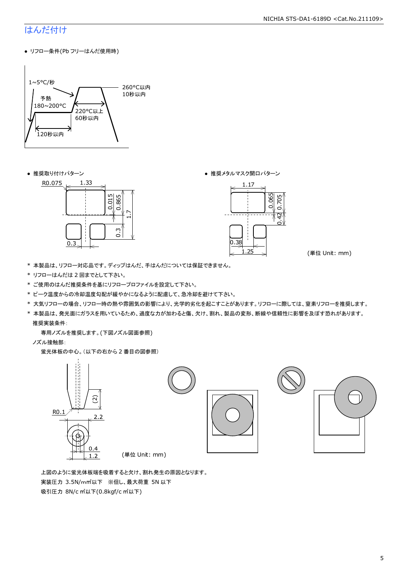### はんだ付け

● リフロー条件(Pb フリーはんだ使用時)



● 推奨取り付けパターン ろんじょう しょうしゃ ゆうしゃ ウィック あんきょう きょうかん きゅうしょく 推奨メタルマスク開口パターン





(単位 Unit: mm)

- \* 本製品は、リフロー対応品です。ディップはんだ、手はんだについては保証できません。
- \* リフローはんだは 2 回までとして下さい。
- \* ご使用のはんだ推奨条件を基にリフロープロファイルを設定して下さい。
- \* ピーク温度からの冷却温度勾配が緩やかになるように配慮して、急冷却を避けて下さい。
- \* 大気リフローの場合、リフロー時の熱や雰囲気の影響により、光学的劣化を起こすことがあります。リフローに際しては、窒素リフローを推奨します。
- \* 本製品は、発光面にガラスを用いているため、過度な力が加わると傷、欠け、割れ、製品の変形、断線や信頼性に影響を及ぼす恐れがあります。 推奨実装条件:

専用ノズルを推奨します。(下図ノズル図面参照)

ノズル接触部:

蛍光体板の中心。(以下の右から 2 番目の図参照)



 上図のように蛍光体板端を吸着すると欠け、割れ発生の原因となります。 実装圧力 3.5N/m㎡以下 ※但し、最大荷重 5N 以下 吸引圧力 8N/c ㎡以下(0.8kgf/c ㎡以下)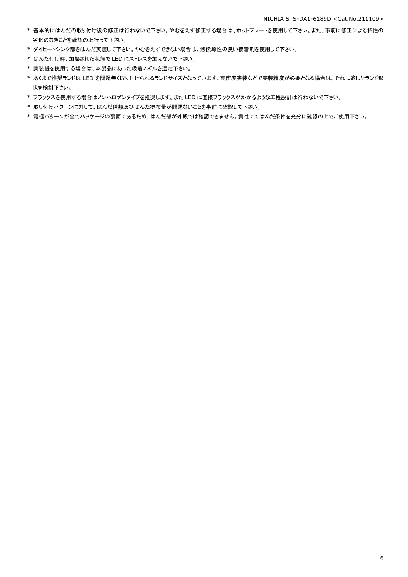- \* 基本的にはんだの取り付け後の修正は行わないで下さい。やむをえず修正する場合は、ホットプレートを使用して下さい。また、事前に修正による特性の 劣化のなきことを確認の上行って下さい。
- \* ダイヒートシンク部をはんだ実装して下さい。やむをえずできない場合は、熱伝導性の良い接着剤を使用して下さい。
- \* はんだ付け時、加熱された状態で LED にストレスを加えないで下さい。
- \* 実装機を使用する場合は、本製品にあった吸着ノズルを選定下さい。
- \* あくまで推奨ランドは LED を問題無く取り付けられるランドサイズとなっています。高密度実装などで実装精度が必要となる場合は、それに適したランド形 状を検討下さい。
- \* フラックスを使用する場合はノンハロゲンタイプを推奨します。また LED に直接フラックスがかかるような工程設計は行わないで下さい。
- \* 取り付けパターンに対して、はんだ種類及びはんだ塗布量が問題ないことを事前に確認して下さい。
- \* 電極パターンが全てパッケージの裏面にあるため、はんだ部が外観では確認できません。貴社にてはんだ条件を充分に確認の上でご使用下さい。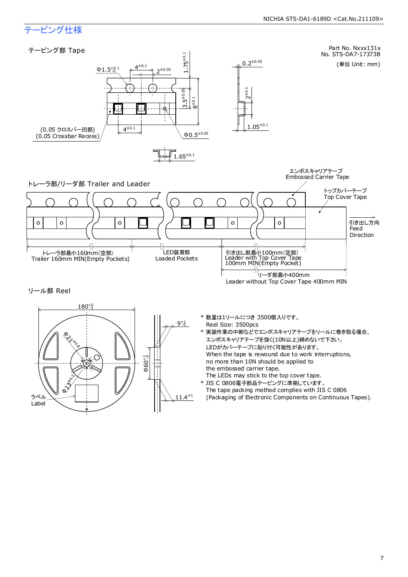### テーピング仕様

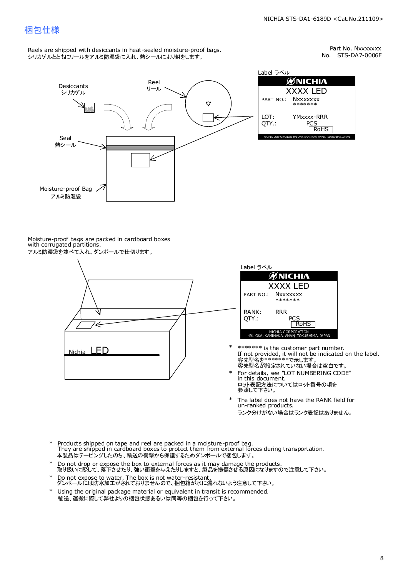### 梱包仕様

Reels are shipped with desiccants in heat-sealed moisture-proof bags. シリカゲルとともにリールをアルミ防湿袋に入れ、熱シールにより封をします。

No. STS-DA7-0006F Part No. Nxxxxxxx



Label ラベル  $\mathscr{D}$ NICHIA XXXX LED PART NO.: **Nxxxxxxx** \*\*\*\*\*\*\* LOT: YMxxxx-RRR QTY.: PCS<br>RoHS INAKA, ANAN, TOKUSHIMA, JA

Moisture-proof bags are packed in cardboard boxes with corrugated partitions. アルミ防湿袋を並べて入れ、ダンボールで仕切ります。





- 客先型名が設定されていない場合は空白です。 客先型名を\*\*\*\*\*\*\*で示します。 If not provided, it will not be indicated on the label. \*\*\*\*\*\*\* is the customer part number.
- For details, see "LOT NUMBERING CODE" in this document. ロット表記方法についてはロット番号の項を<br>参照して下さい。 \*
- The label does not have the RANK field for un-ranked products. ランク分けがない場合はランク表記はありません。 \*
- Products shipped on tape and reel are packed in a moisture-proof bag. They are shipped in cardboard boxes to protect them from external forces during transportation. 本製品はテーピングしたのち、輸送の衝撃から保護するためダンボールで梱包します。 \*
- Do not drop or expose the box to external forces as it may damage the products. 取り扱いに際して、落下させたり、強い衝撃を与えたりしますと、製品を損傷させる原因になりますので注意して下さい。 \*
- Do not expose to water. The box is not water-resistant. ダンボールには防水加工がされておりませんので、梱包箱が水に濡れないよう注意して下さい。 \*
- \* Using the original package material or equivalent in transit is recommended. 輸送、運搬に際して弊社よりの梱包状態あるいは同等の梱包を行って下さい。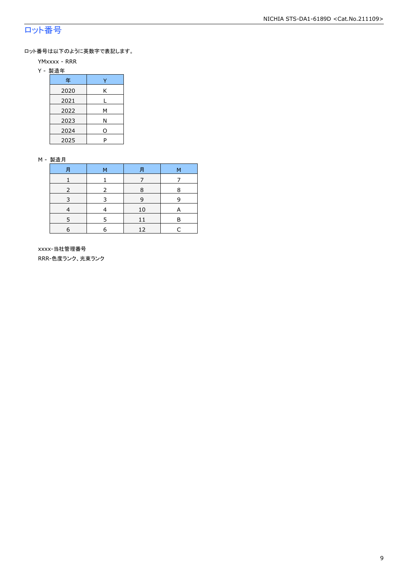### ロット番号

ロット番号は以下のように英数字で表記します。

- YMxxxx RRR
- Y 製造年

| 年    |   |
|------|---|
| 2020 | Κ |
| 2021 |   |
| 2022 | м |
| 2023 | Ν |
| 2024 | 0 |
| 2025 | P |

#### M - 製造月

| F          | M | F  | M |
|------------|---|----|---|
|            |   |    |   |
|            |   | 8  | 8 |
|            |   | q  |   |
|            |   | 10 | А |
|            | 5 | 11 | R |
| $\epsilon$ | 6 | 12 |   |

 xxxx-当社管理番号 RRR-色度ランク、光束ランク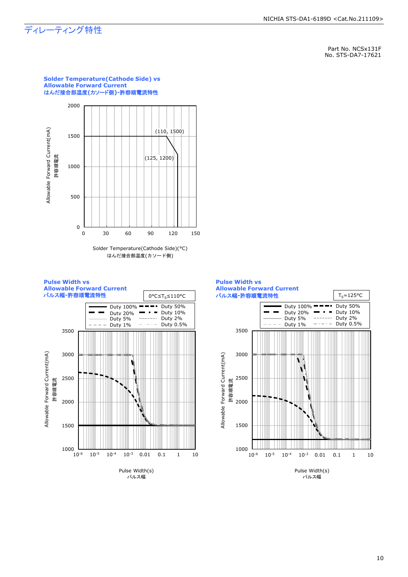### ディレーティング特性

Part No. NCSx131F No. STS-DA7-17621



#### Solder Temperature(Cathode Side)(°C) はんだ接合部温度(カソード側)



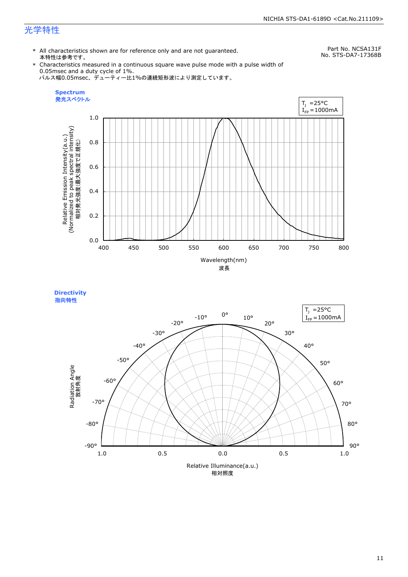### 光学特性

\* All characteristics shown are for reference only and are not guaranteed. 本特性は参考です。

Part No. NCSA131F No. STS-DA7-17368B

\* Characteristics measured in a continuous square wave pulse mode with a pulse width of 0.05msec and a duty cycle of 1%. パルス幅0.05msec、デューティー比1%の連続矩形波により測定しています。





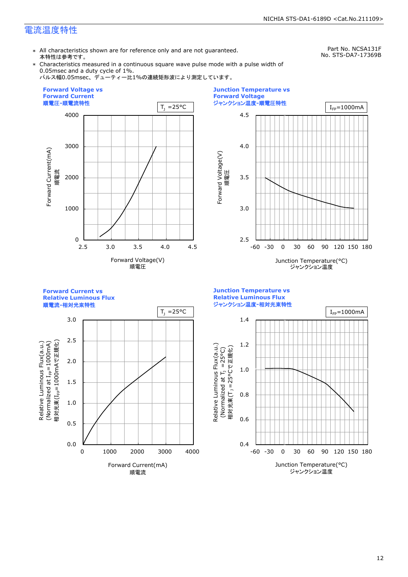### 電流温度特性

\* All characteristics shown are for reference only and are not guaranteed. 本特性は参考です。

Part No. NCSA131F No. STS-DA7-17369B

\* Characteristics measured in a continuous square wave pulse mode with a pulse width of 0.05msec and a duty cycle of 1%.

パルス幅0.05msec、デューティー比1%の連続矩形波により測定しています。





**Forward Current vs Relative Luminous Flux**

順電流**-**相対光束特性



**Junction Temperature vs Relative Luminous Flux** ジャンクション温度**-**相対光束特性

Relative Luminous Flux(a.u.)

Relative Luminous Flux(a.u.)

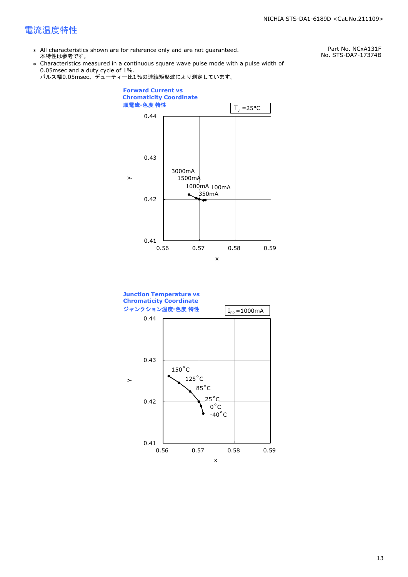### 電流温度特性

\* All characteristics shown are for reference only and are not guaranteed. 本特性は参考です。

Part No. NCxA131F No. STS-DA7-17374B

- \* Characteristics measured in a continuous square wave pulse mode with a pulse width of 0.05msec and a duty cycle of 1%.
	- パルス幅0.05msec、デューティー比1%の連続矩形波により測定しています。



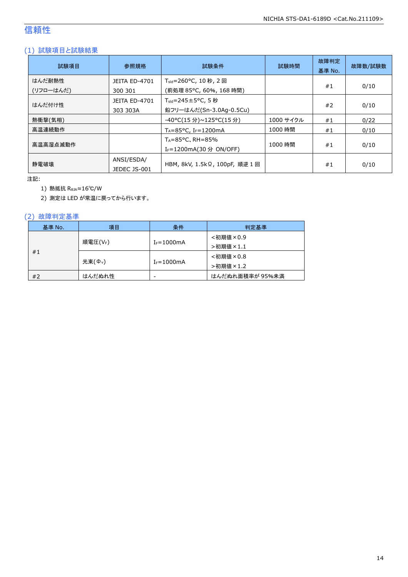### 信頼性

### (1) 試験項目と試験結果

| 試験項目                | 参照規格                             | 試験条件                                                                   | 試験時間      | 故障判定<br>基準 No. | 故障数/試験数 |
|---------------------|----------------------------------|------------------------------------------------------------------------|-----------|----------------|---------|
| はんだ耐熱性<br>(リフローはんだ) | <b>JEITA ED-4701</b><br>300 301  | T <sub>sld</sub> =260°C, 10 秒, 2 回<br>(前処理 85℃, 60%, 168 時間)           |           | #1             | 0/10    |
| はんだ付け性              | <b>JEITA ED-4701</b><br>303 303A | $T_{\text{std}} = 245 \pm 5^{\circ}$ C, 5 秒<br>鉛フリーはんだ(Sn-3.0Ag-0.5Cu) |           | #2             | 0/10    |
| 熱衝撃(気相)             |                                  | -40°C(15 分)~125°C(15 分)                                                | 1000 サイクル | #1             | 0/22    |
| 高温連続動作              |                                  | $T_A = 85^{\circ}$ C, I <sub>F</sub> =1200mA                           | 1000 時間   | #1             | 0/10    |
| 高温高湿点滅動作            |                                  | $T_A = 85^{\circ}$ C, RH = 85%<br>I <sub>F</sub> =1200mA(30 分 ON/OFF)  | 1000 時間   | #1             | 0/10    |
| 静雷破壊                | ANSI/ESDA/<br>JEDEC JS-001       | HBM, 8kV, 1.5kΩ, 100pF, 順逆 1 回                                         |           | #1             | 0/10    |

注記:

1) 熱抵抗 RθJA≈16℃/W

2) 測定は LED が常温に戻ってから行います。

### (2) 故障判定基準

| 基準 No.  | 項目                 | 条件                       | 判定基準            |
|---------|--------------------|--------------------------|-----------------|
|         |                    |                          | <初期値×0.9        |
| 順電圧(VF) |                    | $I_F = 1000$ mA          | >初期値×1.1        |
| #1      |                    |                          | <初期値×0.8        |
|         | 光束( $\Phi_{\nu}$ ) | $I_F = 1000$ mA          | >初期値×1.2        |
| #2      | はんだぬれ性             | $\overline{\phantom{a}}$ | はんだぬれ面積率が 95%未満 |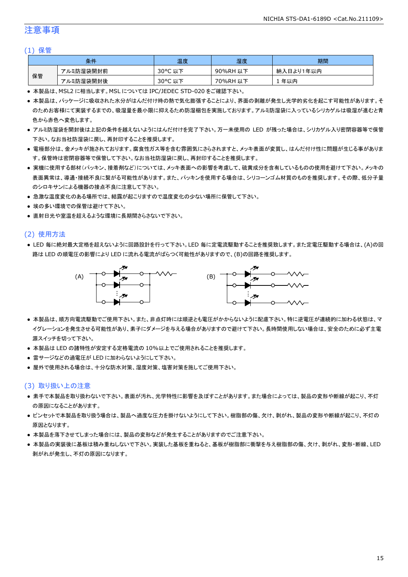### 注意事項

#### (1) 保管

|    | 条件        | 温度                   | 湿度       | 期間        |
|----|-----------|----------------------|----------|-----------|
|    | アルミ防湿袋開封前 | $30^{\circ}$ C<br>以下 | 90%RH 以下 | 納入日より1年以内 |
| 保管 | アルミ防湿袋開封後 | $30^{\circ}$ C<br>以下 | 70%RH 以下 | 年以内       |

● 本製品は、MSL2 に相当します。MSL については IPC/JEDEC STD-020 をご確認下さい。

- 本製品は、パッケージに吸収された水分がはんだ付け時の熱で気化膨張することにより、界面の剥離が発生し光学的劣化を起こす可能性があります。そ のためお客様にて実装するまでの、吸湿量を最小限に抑えるため防湿梱包を実施しております。アルミ防湿袋に入っているシリカゲルは吸湿が進むと青 色から赤色へ変色します。
- アルミ防湿袋を開封後は上記の条件を越えないようにはんだ付けを完了下さい。万一未使用の LED が残った場合は、シリカゲル入り密閉容器等で保管 下さい。なお当社防湿袋に戻し、再封印することを推奨します。
- 電極部分は、金メッキが施されております。腐食性ガス等を含む雰囲気にさらされますと、メッキ表面が変質し、はんだ付け性に問題が生じる事がありま す。保管時は密閉容器等で保管して下さい。なお当社防湿袋に戻し、再封印することを推奨します。
- 実機に使用する部材(パッキン、接着剤など)については、メッキ表面への影響を考慮して、硫黄成分を含有しているものの使用を避けて下さい。メッキの 表面異常は、導通・接続不良に繋がる可能性があります。また、パッキンを使用する場合は、シリコーンゴム材質のものを推奨します。その際、低分子量 のシロキサンによる機器の接点不良に注意して下さい。
- 急激な温度変化のある場所では、結露が起こりますので温度変化の少ない場所に保管して下さい。
- 埃の多い環境での保管は避けて下さい。
- 直射日光や室温を超えるような環境に長期間さらさないで下さい。

#### (2) 使用方法

● LED 毎に絶対最大定格を超えないように回路設計を行って下さい。LED 毎に定電流駆動することを推奨致します。また定電圧駆動する場合は、(A)の回 路は LED の順電圧の影響により LED に流れる電流がばらつく可能性がありますので、(B)の回路を推奨します。



- 本製品は、順方向電流駆動でご使用下さい。また、非点灯時には順逆とも電圧がかからないように配慮下さい。特に逆電圧が連続的に加わる状態は、マ イグレーションを発生させる可能性があり、素子にダメージを与える場合がありますので避けて下さい。長時間使用しない場合は、安全のために必ず主電 源スイッチを切って下さい。
- 本製品は LED の諸特性が安定する定格電流の 10%以上でご使用されることを推奨します。
- 雷サージなどの過電圧が LED に加わらないようにして下さい。
- 屋外で使用される場合は、十分な防水対策、湿度対策、塩害対策を施してご使用下さい。

#### (3) 取り扱い上の注意

- 素手で本製品を取り扱わないで下さい。表面が汚れ、光学特性に影響を及ぼすことがあります。また場合によっては、製品の変形や断線が起こり、不灯 の原因になることがあります。
- ピンセットで本製品を取り扱う場合は、製品へ過度な圧力を掛けないようにして下さい。樹脂部の傷、欠け、剥がれ、製品の変形や断線が起こり、不灯の 原因となります。
- 本製品を落下させてしまった場合には、製品の変形などが発生することがありますのでご注意下さい。
- 本製品の実装後に基板は積み重ねしないで下さい。実装した基板を重ねると、基板が樹脂部に衝撃を与え樹脂部の傷、欠け、剥がれ、変形・断線、LED 剥がれが発生し、不灯の原因になります。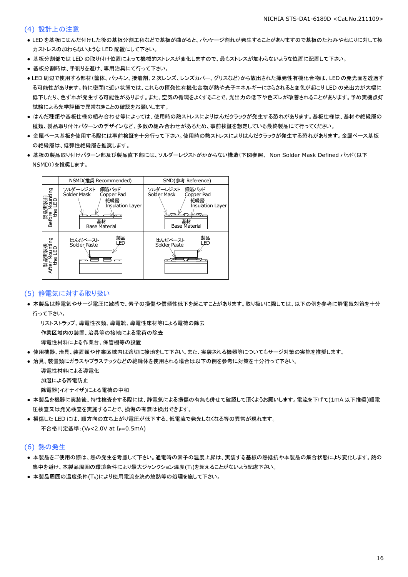#### (4) 設計上の注意

- LED を基板にはんだ付けした後の基板分割工程などで基板が曲がると、パッケージ割れが発生することがありますので基板のたわみやねじりに対して極 力ストレスの加わらないような LED 配置にして下さい。
- 基板分割部では LED の取り付け位置によって機械的ストレスが変化しますので、最もストレスが加わらないような位置に配置して下さい。
- 基板分割時は、手割りを避け、専用治具にて行って下さい。
- LED 周辺で使用する部材(筐体、パッキン、接着剤、2 次レンズ、レンズカバー、グリスなど)から放出された揮発性有機化合物は、LED の発光面を透過す る可能性があります。特に密閉に近い状態では、これらの揮発性有機化合物が熱や光子エネルギーにさらされると変色が起こり LED の光出力が大幅に 低下したり、色ずれが発生する可能性があります。また、空気の循環をよくすることで、光出力の低下や色ズレが改善されることがあります。予め実機点灯 試験による光学評価で異常なきことの確認をお願いします。
- はんだ種類や基板仕様の組み合わせ等によっては、使用時の熱ストレスによりはんだクラックが発生する恐れがあります。基板仕様は、基材や絶縁層の 種類、製品取り付けパターンのデザインなど、多数の組み合わせがあるため、事前検証を想定している最終製品にて行ってください。
- 金属ベース基板を使用する際には事前検証を十分行って下さい。使用時の熱ストレスによりはんだクラックが発生する恐れがあります。金属ベース基板 の絶縁層は、低弾性絶縁層を推奨します。
- 基板の製品取り付けパターン部及び製品直下部には、ソルダーレジストがかからない構造(下図参照、 Non Solder Mask Defined パッド(以下 NSMD))を推奨します。



#### (5) 静電気に対する取り扱い

● 本製品は静電気やサージ電圧に敏感で、素子の損傷や信頼性低下を起こすことがあります。取り扱いに際しては、以下の例を参考に静電気対策を十分 行って下さい。

 リストストラップ、導電性衣類、導電靴、導電性床材等による電荷の除去 作業区域内の装置、治具等の接地による電荷の除去

導電性材料による作業台、保管棚等の設置

- 使用機器、治具、装置類や作業区域内は適切に接地をして下さい。また、実装される機器等についてもサージ対策の実施を推奨します。
- 治具、装置類にガラスやプラスチックなどの絶縁体を使用される場合は以下の例を参考に対策を十分行って下さい。

 導電性材料による導電化 加湿による帯電防止

除電器(イオナイザ)による電荷の中和

- 本製品を機器に実装後、特性検査をする際には、静電気による損傷の有無も併せて確認して頂くようお願いします。電流を下げて(1mA 以下推奨)順電 圧検査又は発光検査を実施することで、損傷の有無は検出できます。
- 損傷した LED には、順方向の立ち上がり電圧が低下する、低電流で発光しなくなる等の異常が現れます。 不合格判定基準: (VF<2.0V at IF=0.5mA)

#### (6) 熱の発生

- 本製品をご使用の際は、熱の発生を考慮して下さい。通電時の素子の温度上昇は、実装する基板の熱抵抗や本製品の集合状態により変化します。熱の 集中を避け、本製品周囲の環境条件により最大ジャンクション温度(TJ)を超えることがないよう配慮下さい。
- 本製品周囲の温度条件(TA)により使用電流を決め放熱等の処理を施して下さい。